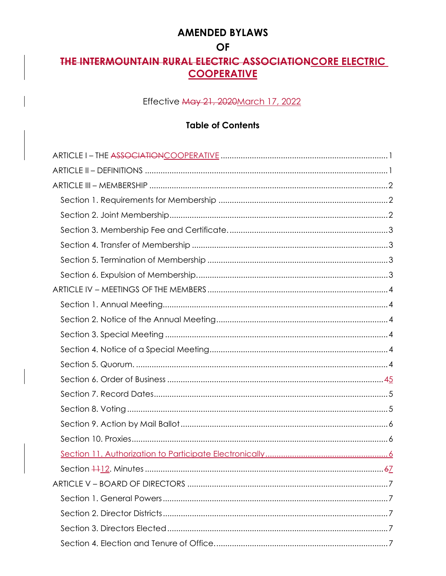## **AMENDED BYLAWS**

## **OF**

# THE INTERMOUNTAIN RURAL ELECTRIC ASSOCIATION CORE ELECTRIC **COOPERATIVE**

## Effective May 21, 2020 March 17, 2022

## **Table of Contents**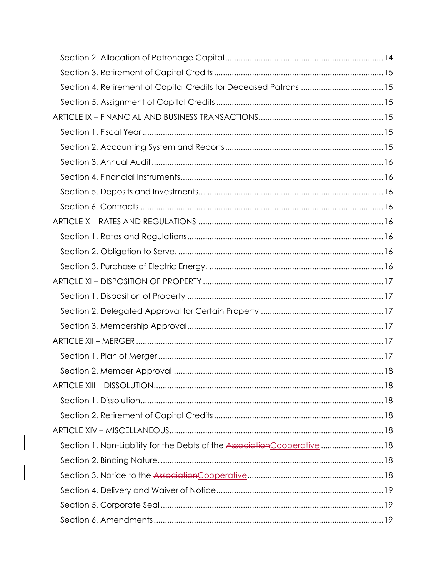| Section 4. Retirement of Capital Credits for Deceased Patrons  15         |  |
|---------------------------------------------------------------------------|--|
|                                                                           |  |
|                                                                           |  |
|                                                                           |  |
|                                                                           |  |
|                                                                           |  |
|                                                                           |  |
|                                                                           |  |
|                                                                           |  |
|                                                                           |  |
|                                                                           |  |
|                                                                           |  |
|                                                                           |  |
|                                                                           |  |
|                                                                           |  |
|                                                                           |  |
|                                                                           |  |
|                                                                           |  |
|                                                                           |  |
|                                                                           |  |
|                                                                           |  |
|                                                                           |  |
|                                                                           |  |
|                                                                           |  |
| Section 1. Non-Liability for the Debts of the Association Cooperative  18 |  |
|                                                                           |  |
|                                                                           |  |
|                                                                           |  |
|                                                                           |  |
|                                                                           |  |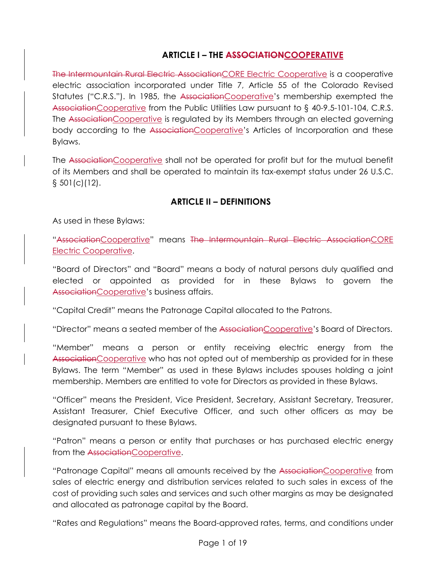## **ARTICLE I – THE ASSOCIATIONCOOPERATIVE**

The Intermountain Rural Electric AssociationCORE Electric Cooperative is a cooperative electric association incorporated under Title 7, Article 55 of the Colorado Revised Statutes ("C.R.S."). In 1985, the AssociationCooperative's membership exempted the AssociationCooperative from the Public Utilities Law pursuant to § 40-9.5-101-104, C.R.S. The AssociationCooperative is regulated by its Members through an elected governing body according to the AssociationCooperative's Articles of Incorporation and these Bylaws.

The AssociationCooperative shall not be operated for profit but for the mutual benefit of its Members and shall be operated to maintain its tax-exempt status under 26 U.S.C.  $\S$  501(c)(12).

## **ARTICLE II – DEFINITIONS**

As used in these Bylaws:

"AssociationCooperative" means The Intermountain Rural Electric AssociationCORE Electric Cooperative.

"Board of Directors" and "Board" means a body of natural persons duly qualified and elected or appointed as provided for in these Bylaws to govern the AssociationCooperative's business affairs.

"Capital Credit" means the Patronage Capital allocated to the Patrons.

"Director" means a seated member of the AssociationCooperative's Board of Directors.

"Member" means a person or entity receiving electric energy from the AssociationCooperative who has not opted out of membership as provided for in these Bylaws. The term "Member" as used in these Bylaws includes spouses holding a joint membership. Members are entitled to vote for Directors as provided in these Bylaws.

"Officer" means the President, Vice President, Secretary, Assistant Secretary, Treasurer, Assistant Treasurer, Chief Executive Officer, and such other officers as may be designated pursuant to these Bylaws.

"Patron" means a person or entity that purchases or has purchased electric energy from the AssociationCooperative.

"Patronage Capital" means all amounts received by the AssociationCooperative from sales of electric energy and distribution services related to such sales in excess of the cost of providing such sales and services and such other margins as may be designated and allocated as patronage capital by the Board.

"Rates and Regulations" means the Board-approved rates, terms, and conditions under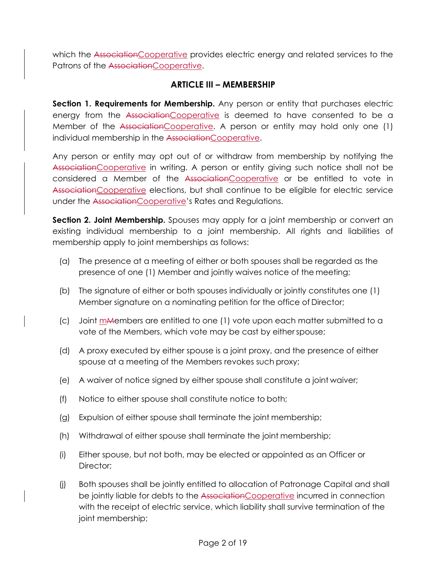which the AssociationCooperative provides electric energy and related services to the Patrons of the AssociationCooperative.

#### **ARTICLE III – MEMBERSHIP**

**Section 1. Requirements for Membership.** Any person or entity that purchases electric energy from the AssociationCooperative is deemed to have consented to be a Member of the AssociationCooperative. A person or entity may hold only one (1) individual membership in the AssociationCooperative.

Any person or entity may opt out of or withdraw from membership by notifying the AssociationCooperative in writing. A person or entity giving such notice shall not be considered a Member of the AssociationCooperative or be entitled to vote in AssociationCooperative elections, but shall continue to be eligible for electric service under the AssociationCooperative's Rates and Regulations.

**Section 2. Joint Membership.** Spouses may apply for a joint membership or convert an existing individual membership to a joint membership. All rights and liabilities of membership apply to joint memberships as follows:

- (a) The presence at a meeting of either or both spouses shall be regarded as the presence of one (1) Member and jointly waives notice of the meeting;
- (b) The signature of either or both spouses individually or jointly constitutes one (1) Member signature on a nominating petition for the office of Director;
- (c) Joint mMembers are entitled to one (1) vote upon each matter submitted to a vote of the Members, which vote may be cast by either spouse;
- (d) A proxy executed by either spouse is a joint proxy, and the presence of either spouse at a meeting of the Members revokes such proxy;
- (e) A waiver of notice signed by either spouse shall constitute a joint waiver;
- (f) Notice to either spouse shall constitute notice to both;
- (g) Expulsion of either spouse shall terminate the joint membership;
- (h) Withdrawal of either spouse shall terminate the joint membership;
- (i) Either spouse, but not both, may be elected or appointed as an Officer or Director:
- (j) Both spouses shall be jointly entitled to allocation of Patronage Capital and shall be jointly liable for debts to the Association Cooperative incurred in connection with the receipt of electric service, which liability shall survive termination of the joint membership;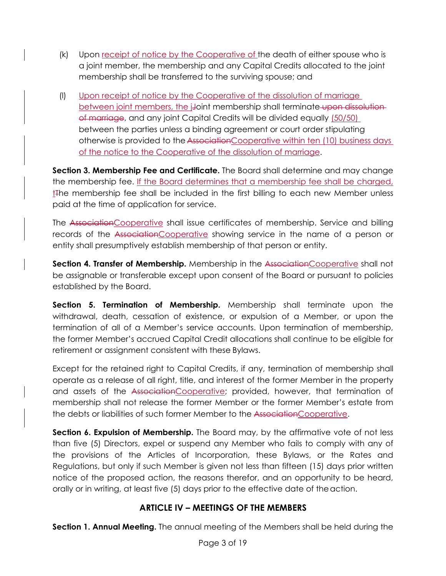- (k) Upon receipt of notice by the Cooperative of the death of either spouse who is a joint member, the membership and any Capital Credits allocated to the joint membership shall be transferred to the surviving spouse; and
- (l) Upon receipt of notice by the Cooperative of the dissolution of marriage between joint members, the j-Joint membership shall terminate upon dissolution of marriage, and any joint Capital Credits will be divided equally (50/50) between the parties unless a binding agreement or court order stipulating otherwise is provided to the AssociationCooperative within ten (10) business days of the notice to the Cooperative of the dissolution of marriage.

**Section 3. Membership Fee and Certificate.** The Board shall determine and may change the membership fee. If the Board determines that a membership fee shall be charged, t<sub>the membership fee shall be included in the first billing to each new Member unless</sub> paid at the time of application for service.

The AssociationCooperative shall issue certificates of membership. Service and billing records of the AssociationCooperative showing service in the name of a person or entity shall presumptively establish membership of that person or entity.

**Section 4. Transfer of Membership.** Membership in the AssociationCooperative shall not be assignable or transferable except upon consent of the Board or pursuant to policies established by the Board.

**Section 5. Termination of Membership.** Membership shall terminate upon the withdrawal, death, cessation of existence, or expulsion of a Member, or upon the termination of all of a Member's service accounts. Upon termination of membership, the former Member's accrued Capital Credit allocations shall continue to be eligible for retirement or assignment consistent with these Bylaws.

Except for the retained right to Capital Credits, if any, termination of membership shall operate as a release of all right, title, and interest of the former Member in the property and assets of the AssociationCooperative; provided, however, that termination of membership shall not release the former Member or the former Member's estate from the debts or liabilities of such former Member to the AssociationCooperative.

**Section 6. Expulsion of Membership.** The Board may, by the affirmative vote of not less than five (5) Directors, expel or suspend any Member who fails to comply with any of the provisions of the Articles of Incorporation, these Bylaws, or the Rates and Regulations, but only if such Member is given not less than fifteen (15) days prior written notice of the proposed action, the reasons therefor, and an opportunity to be heard, orally or in writing, at least five (5) days prior to the effective date of the action.

## **ARTICLE IV – MEETINGS OF THE MEMBERS**

**Section 1. Annual Meeting.** The annual meeting of the Members shall be held during the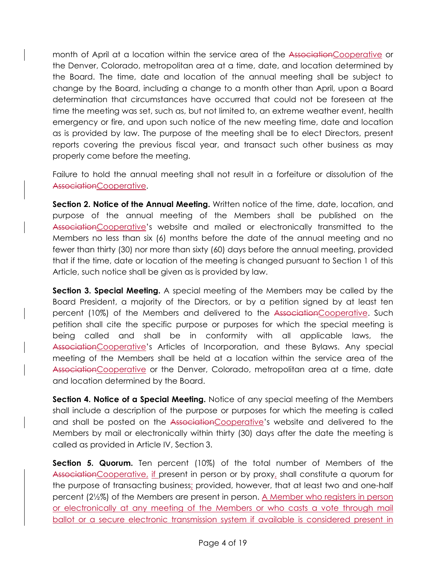month of April at a location within the service area of the AssociationCooperative or the Denver, Colorado, metropolitan area at a time, date, and location determined by the Board. The time, date and location of the annual meeting shall be subject to change by the Board, including a change to a month other than April, upon a Board determination that circumstances have occurred that could not be foreseen at the time the meeting was set, such as, but not limited to, an extreme weather event, health emergency or fire, and upon such notice of the new meeting time, date and location as is provided by law. The purpose of the meeting shall be to elect Directors, present reports covering the previous fiscal year, and transact such other business as may properly come before the meeting.

Failure to hold the annual meeting shall not result in a forfeiture or dissolution of the AssociationCooperative.

**Section 2. Notice of the Annual Meeting.** Written notice of the time, date, location, and purpose of the annual meeting of the Members shall be published on the AssociationCooperative's website and mailed or electronically transmitted to the Members no less than six (6) months before the date of the annual meeting and no fewer than thirty (30) nor more than sixty (60) days before the annual meeting, provided that if the time, date or location of the meeting is changed pursuant to Section 1 of this Article, such notice shall be given as is provided by law.

**Section 3. Special Meeting.** A special meeting of the Members may be called by the Board President, a majority of the Directors, or by a petition signed by at least ten percent (10%) of the Members and delivered to the AssociationCooperative. Such petition shall cite the specific purpose or purposes for which the special meeting is being called and shall be in conformity with all applicable laws, the AssociationCooperative's Articles of Incorporation, and these Bylaws. Any special meeting of the Members shall be held at a location within the service area of the AssociationCooperative or the Denver, Colorado, metropolitan area at a time, date and location determined by the Board.

**Section 4. Notice of a Special Meeting.** Notice of any special meeting of the Members shall include a description of the purpose or purposes for which the meeting is called and shall be posted on the AssociationCooperative's website and delivered to the Members by mail or electronically within thirty (30) days after the date the meeting is called as provided in Article IV, Section 3.

**Section 5. Quorum.** Ten percent (10%) of the total number of Members of the AssociationCooperative, if present in person or by proxy, shall constitute a quorum for the purpose of transacting business; provided, however, that at least two and one-half percent (2½%) of the Members are present in person. A Member who registers in person or electronically at any meeting of the Members or who casts a vote through mail ballot or a secure electronic transmission system if available is considered present in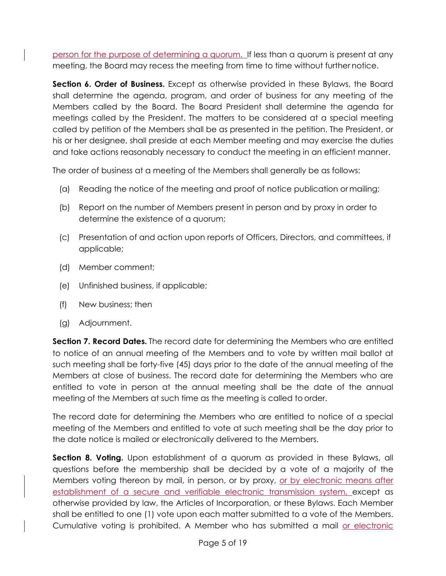person for the purpose of determining a quorum. If less than a quorum is present at any meeting, the Board may recess the meeting from time to time without further notice.

**Section 6. Order of Business.** Except as otherwise provided in these Bylaws, the Board shall determine the agenda, program, and order of business for any meeting of the Members called by the Board. The Board President shall determine the agenda for meetings called by the President. The matters to be considered at a special meeting called by petition of the Members shall be as presented in the petition. The President, or his or her designee, shall preside at each Member meeting and may exercise the duties and take actions reasonably necessary to conduct the meeting in an efficient manner.

The order of business at a meeting of the Members shall generally be as follows:

- (a) Reading the notice of the meeting and proof of notice publication or mailing;
- (b) Report on the number of Members present in person and by proxy in order to determine the existence of a quorum;
- (c) Presentation of and action upon reports of Officers, Directors, and committees, if applicable;
- (d) Member comment;
- (e) Unfinished business, if applicable;
- (f) New business; then
- (g) Adjournment.

**Section 7. Record Dates.** The record date for determining the Members who are entitled to notice of an annual meeting of the Members and to vote by written mail ballot at such meeting shall be forty-five (45) days prior to the date of the annual meeting of the Members at close of business. The record date for determining the Members who are entitled to vote in person at the annual meeting shall be the date of the annual meeting of the Members at such time as the meeting is called to order.

The record date for determining the Members who are entitled to notice of a special meeting of the Members and entitled to vote at such meeting shall be the day prior to the date notice is mailed or electronically delivered to the Members.

**Section 8. Voting.** Upon establishment of a quorum as provided in these Bylaws, all questions before the membership shall be decided by a vote of a majority of the Members voting thereon by mail, in person, or by proxy, or by electronic means after establishment of a secure and verifiable electronic transmission system, except as otherwise provided by law, the Articles of Incorporation, or these Bylaws. Each Member shall be entitled to one (1) vote upon each matter submitted to a vote of the Members. Cumulative voting is prohibited. A Member who has submitted a mail or electronic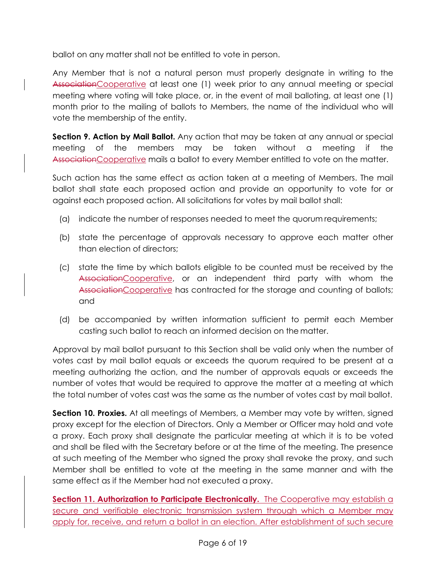ballot on any matter shall not be entitled to vote in person.

Any Member that is not a natural person must properly designate in writing to the AssociationCooperative at least one (1) week prior to any annual meeting or special meeting where voting will take place, or, in the event of mail balloting, at least one (1) month prior to the mailing of ballots to Members, the name of the individual who will vote the membership of the entity.

**Section 9. Action by Mail Ballot.** Any action that may be taken at any annual or special meeting of the members may be taken without a meeting if the AssociationCooperative mails a ballot to every Member entitled to vote on the matter.

Such action has the same effect as action taken at a meeting of Members. The mail ballot shall state each proposed action and provide an opportunity to vote for or against each proposed action. All solicitations for votes by mail ballot shall:

- (a) indicate the number of responses needed to meet the quorum requirements;
- (b) state the percentage of approvals necessary to approve each matter other than election of directors;
- (c) state the time by which ballots eligible to be counted must be received by the Association Cooperative, or an independent third party with whom the AssociationCooperative has contracted for the storage and counting of ballots; and
- (d) be accompanied by written information sufficient to permit each Member casting such ballot to reach an informed decision on the matter.

Approval by mail ballot pursuant to this Section shall be valid only when the number of votes cast by mail ballot equals or exceeds the quorum required to be present at a meeting authorizing the action, and the number of approvals equals or exceeds the number of votes that would be required to approve the matter at a meeting at which the total number of votes cast was the same as the number of votes cast by mail ballot.

**Section 10. Proxies.** At all meetings of Members, a Member may vote by written, signed proxy except for the election of Directors. Only a Member or Officer may hold and vote a proxy. Each proxy shall designate the particular meeting at which it is to be voted and shall be filed with the Secretary before or at the time of the meeting. The presence at such meeting of the Member who signed the proxy shall revoke the proxy, and such Member shall be entitled to vote at the meeting in the same manner and with the same effect as if the Member had not executed a proxy.

**Section 11. Authorization to Participate Electronically.** The Cooperative may establish a secure and verifiable electronic transmission system through which a Member may apply for, receive, and return a ballot in an election. After establishment of such secure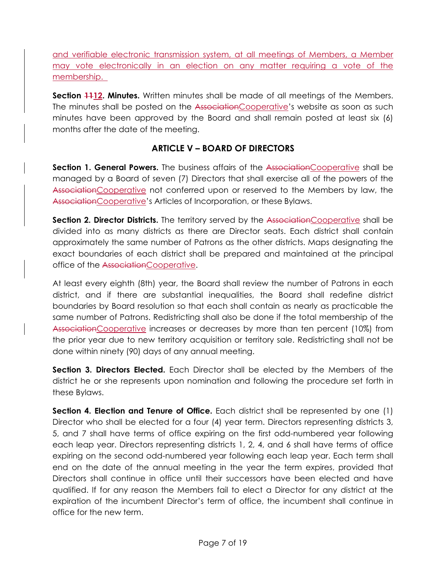and verifiable electronic transmission system, at all meetings of Members, a Member may vote electronically in an election on any matter requiring a vote of the membership.

**Section 1112. Minutes.** Written minutes shall be made of all meetings of the Members. The minutes shall be posted on the AssociationCooperative's website as soon as such minutes have been approved by the Board and shall remain posted at least six (6) months after the date of the meeting.

## **ARTICLE V – BOARD OF DIRECTORS**

Section 1. General Powers. The business affairs of the AssociationCooperative shall be managed by a Board of seven (7) Directors that shall exercise all of the powers of the AssociationCooperative not conferred upon or reserved to the Members by law, the AssociationCooperative's Articles of Incorporation, or these Bylaws.

**Section 2. Director Districts.** The territory served by the AssociationCooperative shall be divided into as many districts as there are Director seats. Each district shall contain approximately the same number of Patrons as the other districts. Maps designating the exact boundaries of each district shall be prepared and maintained at the principal office of the AssociationCooperative.

At least every eighth (8th) year, the Board shall review the number of Patrons in each district, and if there are substantial inequalities, the Board shall redefine district boundaries by Board resolution so that each shall contain as nearly as practicable the same number of Patrons. Redistricting shall also be done if the total membership of the AssociationCooperative increases or decreases by more than ten percent (10%) from the prior year due to new territory acquisition or territory sale. Redistricting shall not be done within ninety (90) days of any annual meeting.

**Section 3. Directors Elected.** Each Director shall be elected by the Members of the district he or she represents upon nomination and following the procedure set forth in these Bylaws.

**Section 4. Election and Tenure of Office.** Each district shall be represented by one (1) Director who shall be elected for a four (4) year term. Directors representing districts 3, 5, and 7 shall have terms of office expiring on the first odd-numbered year following each leap year. Directors representing districts 1, 2, 4, and 6 shall have terms of office expiring on the second odd-numbered year following each leap year. Each term shall end on the date of the annual meeting in the year the term expires, provided that Directors shall continue in office until their successors have been elected and have qualified. If for any reason the Members fail to elect a Director for any district at the expiration of the incumbent Director's term of office, the incumbent shall continue in office for the new term.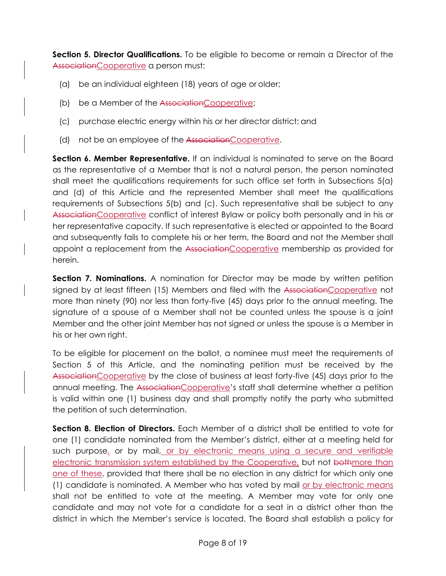**Section 5. Director Qualifications.** To be eligible to become or remain a Director of the AssociationCooperative a person must:

- (a) be an individual eighteen (18) years of age or older;
- (b) be a Member of the AssociationCooperative;
- (c) purchase electric energy within his or her director district; and
- (d) not be an employee of the Association Cooperative.

**Section 6. Member Representative.** If an individual is nominated to serve on the Board as the representative of a Member that is not a natural person, the person nominated shall meet the qualifications requirements for such office set forth in Subsections 5(a) and (d) of this Article and the represented Member shall meet the qualifications requirements of Subsections 5(b) and (c). Such representative shall be subject to any AssociationCooperative conflict of interest Bylaw or policy both personally and in his or her representative capacity. If such representative is elected or appointed to the Board and subsequently fails to complete his or her term, the Board and not the Member shall appoint a replacement from the AssociationCooperative membership as provided for herein.

**Section 7. Nominations.** A nomination for Director may be made by written petition signed by at least fifteen (15) Members and filed with the AssociationCooperative not more than ninety (90) nor less than forty-five (45) days prior to the annual meeting. The signature of a spouse of a Member shall not be counted unless the spouse is a joint Member and the other joint Member has not signed or unless the spouse is a Member in his or her own right.

To be eligible for placement on the ballot, a nominee must meet the requirements of Section 5 of this Article, and the nominating petition must be received by the AssociationCooperative by the close of business at least forty-five (45) days prior to the annual meeting. The AssociationCooperative's staff shall determine whether a petition is valid within one (1) business day and shall promptly notify the party who submitted the petition of such determination.

**Section 8. Election of Directors.** Each Member of a district shall be entitled to vote for one (1) candidate nominated from the Member's district, either at a meeting held for such purpose, or by mail, or by electronic means using a secure and verifiable electronic transmission system established by the Cooperative, but not bothmore than one of these, provided that there shall be no election in any district for which only one (1) candidate is nominated. A Member who has voted by mail or by electronic means shall not be entitled to vote at the meeting. A Member may vote for only one candidate and may not vote for a candidate for a seat in a district other than the district in which the Member's service is located. The Board shall establish a policy for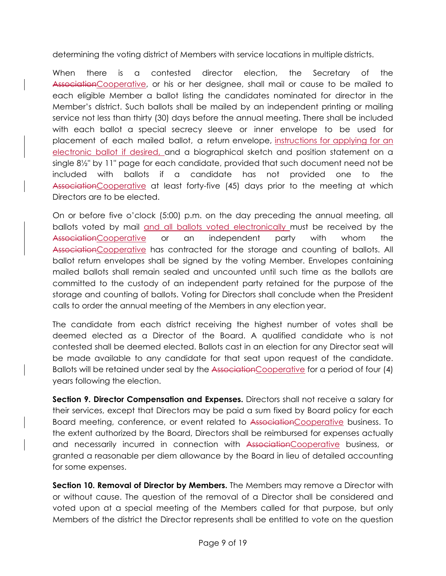determining the voting district of Members with service locations in multiple districts.

When there is a contested director election, the Secretary of the AssociationCooperative, or his or her designee, shall mail or cause to be mailed to each eligible Member a ballot listing the candidates nominated for director in the Member's district. Such ballots shall be mailed by an independent printing or mailing service not less than thirty (30) days before the annual meeting. There shall be included with each ballot a special secrecy sleeve or inner envelope to be used for placement of each mailed ballot, a return envelope, instructions for applying for an electronic ballot if desired, and a biographical sketch and position statement on a single 8½" by 11" page for each candidate, provided that such document need not be included with ballots if a candidate has not provided one to the AssociationCooperative at least forty-five (45) days prior to the meeting at which Directors are to be elected.

On or before five o'clock (5:00) p.m. on the day preceding the annual meeting, all ballots voted by mail and all ballots voted electronically must be received by the AssociationCooperative or an independent party with whom the AssociationCooperative has contracted for the storage and counting of ballots. All ballot return envelopes shall be signed by the voting Member. Envelopes containing mailed ballots shall remain sealed and uncounted until such time as the ballots are committed to the custody of an independent party retained for the purpose of the storage and counting of ballots. Voting for Directors shall conclude when the President calls to order the annual meeting of the Members in any election year.

The candidate from each district receiving the highest number of votes shall be deemed elected as a Director of the Board. A qualified candidate who is not contested shall be deemed elected. Ballots cast in an election for any Director seat will be made available to any candidate for that seat upon request of the candidate. Ballots will be retained under seal by the AssociationCooperative for a period of four (4) years following the election.

**Section 9. Director Compensation and Expenses.** Directors shall not receive a salary for their services, except that Directors may be paid a sum fixed by Board policy for each Board meeting, conference, or event related to AssociationCooperative business. To the extent authorized by the Board, Directors shall be reimbursed for expenses actually and necessarily incurred in connection with AssociationCooperative business, or granted a reasonable per diem allowance by the Board in lieu of detailed accounting for some expenses.

**Section 10. Removal of Director by Members.** The Members may remove a Director with or without cause. The question of the removal of a Director shall be considered and voted upon at a special meeting of the Members called for that purpose, but only Members of the district the Director represents shall be entitled to vote on the question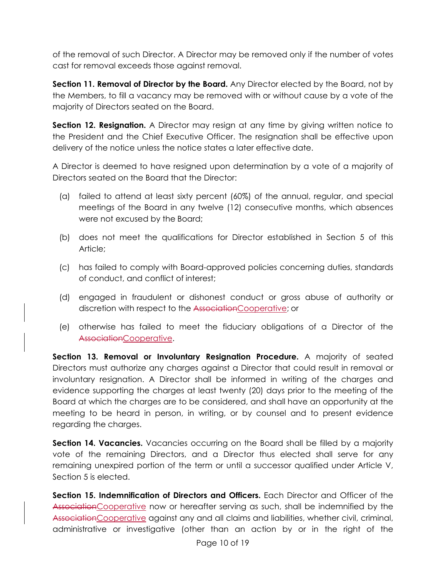of the removal of such Director. A Director may be removed only if the number of votes cast for removal exceeds those against removal.

**Section 11. Removal of Director by the Board.** Any Director elected by the Board, not by the Members, to fill a vacancy may be removed with or without cause by a vote of the majority of Directors seated on the Board.

**Section 12. Resignation.** A Director may resign at any time by giving written notice to the President and the Chief Executive Officer. The resignation shall be effective upon delivery of the notice unless the notice states a later effective date.

A Director is deemed to have resigned upon determination by a vote of a majority of Directors seated on the Board that the Director:

- (a) failed to attend at least sixty percent (60%) of the annual, regular, and special meetings of the Board in any twelve (12) consecutive months, which absences were not excused by the Board;
- (b) does not meet the qualifications for Director established in Section 5 of this Article;
- (c) has failed to comply with Board-approved policies concerning duties, standards of conduct, and conflict of interest;
- (d) engaged in fraudulent or dishonest conduct or gross abuse of authority or discretion with respect to the AssociationCooperative; or
- (e) otherwise has failed to meet the fiduciary obligations of a Director of the AssociationCooperative.

**Section 13. Removal or Involuntary Resignation Procedure.** A majority of seated Directors must authorize any charges against a Director that could result in removal or involuntary resignation. A Director shall be informed in writing of the charges and evidence supporting the charges at least twenty (20) days prior to the meeting of the Board at which the charges are to be considered, and shall have an opportunity at the meeting to be heard in person, in writing, or by counsel and to present evidence regarding the charges.

**Section 14. Vacancies.** Vacancies occurring on the Board shall be filled by a majority vote of the remaining Directors, and a Director thus elected shall serve for any remaining unexpired portion of the term or until a successor qualified under Article V, Section 5 is elected.

**Section 15. Indemnification of Directors and Officers.** Each Director and Officer of the AssociationCooperative now or hereafter serving as such, shall be indemnified by the AssociationCooperative against any and all claims and liabilities, whether civil, criminal, administrative or investigative (other than an action by or in the right of the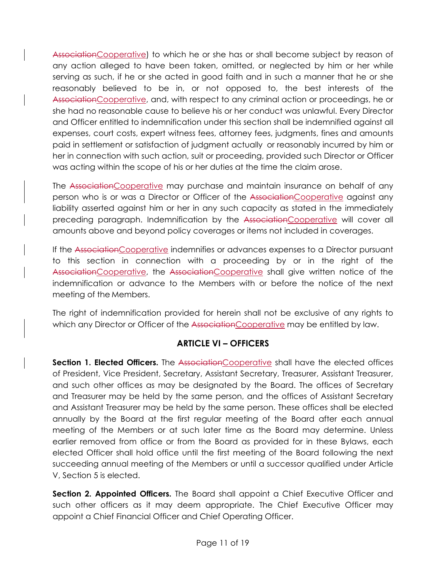AssociationCooperative) to which he or she has or shall become subject by reason of any action alleged to have been taken, omitted, or neglected by him or her while serving as such, if he or she acted in good faith and in such a manner that he or she reasonably believed to be in, or not opposed to, the best interests of the AssociationCooperative, and, with respect to any criminal action or proceedings, he or she had no reasonable cause to believe his or her conduct was unlawful. Every Director and Officer entitled to indemnification under this section shall be indemnified against all expenses, court costs, expert witness fees, attorney fees, judgments, fines and amounts paid in settlement or satisfaction of judgment actually or reasonably incurred by him or her in connection with such action, suit or proceeding, provided such Director or Officer was acting within the scope of his or her duties at the time the claim arose.

The AssociationCooperative may purchase and maintain insurance on behalf of any person who is or was a Director or Officer of the AssociationCooperative against any liability asserted against him or her in any such capacity as stated in the immediately preceding paragraph. Indemnification by the AssociationCooperative will cover all amounts above and beyond policy coverages or items not included in coverages.

If the AssociationCooperative indemnifies or advances expenses to a Director pursuant to this section in connection with a proceeding by or in the right of the AssociationCooperative, the AssociationCooperative shall give written notice of the indemnification or advance to the Members with or before the notice of the next meeting of the Members.

The right of indemnification provided for herein shall not be exclusive of any rights to which any Director or Officer of the AssociationCooperative may be entitled by law.

## **ARTICLE VI – OFFICERS**

**Section 1. Elected Officers.** The AssociationCooperative shall have the elected offices of President, Vice President, Secretary, Assistant Secretary, Treasurer, Assistant Treasurer, and such other offices as may be designated by the Board. The offices of Secretary and Treasurer may be held by the same person, and the offices of Assistant Secretary and Assistant Treasurer may be held by the same person. These offices shall be elected annually by the Board at the first regular meeting of the Board after each annual meeting of the Members or at such later time as the Board may determine. Unless earlier removed from office or from the Board as provided for in these Bylaws, each elected Officer shall hold office until the first meeting of the Board following the next succeeding annual meeting of the Members or until a successor qualified under Article V, Section 5 is elected.

**Section 2. Appointed Officers.** The Board shall appoint a Chief Executive Officer and such other officers as it may deem appropriate. The Chief Executive Officer may appoint a Chief Financial Officer and Chief Operating Officer.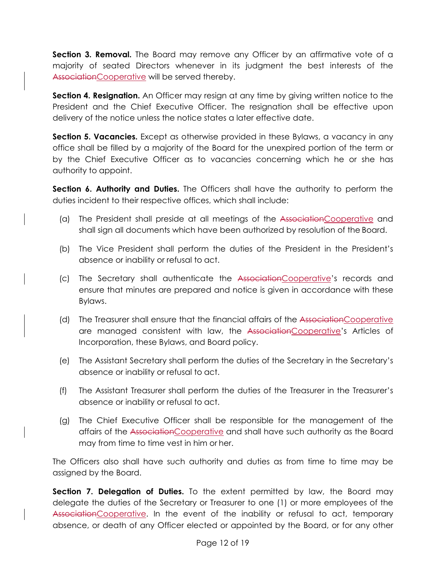Section 3. Removal. The Board may remove any Officer by an affirmative vote of a majority of seated Directors whenever in its judgment the best interests of the AssociationCooperative will be served thereby.

**Section 4. Resignation.** An Officer may resign at any time by giving written notice to the President and the Chief Executive Officer. The resignation shall be effective upon delivery of the notice unless the notice states a later effective date.

**Section 5. Vacancies.** Except as otherwise provided in these Bylaws, a vacancy in any office shall be filled by a majority of the Board for the unexpired portion of the term or by the Chief Executive Officer as to vacancies concerning which he or she has authority to appoint.

**Section 6. Authority and Duties.** The Officers shall have the authority to perform the duties incident to their respective offices, which shall include:

- (a) The President shall preside at all meetings of the AssociationCooperative and shall sign all documents which have been authorized by resolution of the Board.
- (b) The Vice President shall perform the duties of the President in the President's absence or inability or refusal to act.
- (c) The Secretary shall authenticate the AssociationCooperative's records and ensure that minutes are prepared and notice is given in accordance with these Bylaws.
- (d) The Treasurer shall ensure that the financial affairs of the AssociationCooperative are managed consistent with law, the AssociationCooperative's Articles of Incorporation, these Bylaws, and Board policy.
- (e) The Assistant Secretary shall perform the duties of the Secretary in the Secretary's absence or inability or refusal to act.
- (f) The Assistant Treasurer shall perform the duties of the Treasurer in the Treasurer's absence or inability or refusal to act.
- (g) The Chief Executive Officer shall be responsible for the management of the affairs of the AssociationCooperative and shall have such authority as the Board may from time to time vest in him or her.

The Officers also shall have such authority and duties as from time to time may be assigned by the Board.

**Section 7. Delegation of Duties.** To the extent permitted by law, the Board may delegate the duties of the Secretary or Treasurer to one (1) or more employees of the AssociationCooperative. In the event of the inability or refusal to act, temporary absence, or death of any Officer elected or appointed by the Board, or for any other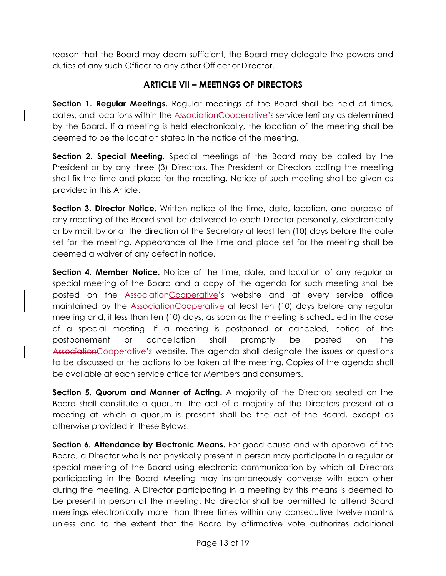reason that the Board may deem sufficient, the Board may delegate the powers and duties of any such Officer to any other Officer or Director.

## **ARTICLE VII – MEETINGS OF DIRECTORS**

**Section 1. Regular Meetings.** Regular meetings of the Board shall be held at times, dates, and locations within the AssociationCooperative's service territory as determined by the Board. If a meeting is held electronically, the location of the meeting shall be deemed to be the location stated in the notice of the meeting.

**Section 2. Special Meeting.** Special meetings of the Board may be called by the President or by any three (3) Directors. The President or Directors calling the meeting shall fix the time and place for the meeting. Notice of such meeting shall be given as provided in this Article.

**Section 3. Director Notice.** Written notice of the time, date, location, and purpose of any meeting of the Board shall be delivered to each Director personally, electronically or by mail, by or at the direction of the Secretary at least ten (10) days before the date set for the meeting. Appearance at the time and place set for the meeting shall be deemed a waiver of any defect in notice.

**Section 4. Member Notice.** Notice of the time, date, and location of any regular or special meeting of the Board and a copy of the agenda for such meeting shall be posted on the AssociationCooperative's website and at every service office maintained by the AssociationCooperative at least ten (10) days before any regular meeting and, if less than ten (10) days, as soon as the meeting is scheduled in the case of a special meeting. If a meeting is postponed or canceled, notice of the postponement or cancellation shall promptly be posted on the AssociationCooperative's website. The agenda shall designate the issues or questions to be discussed or the actions to be taken at the meeting. Copies of the agenda shall be available at each service office for Members and consumers.

**Section 5. Quorum and Manner of Acting.** A majority of the Directors seated on the Board shall constitute a quorum. The act of a majority of the Directors present at a meeting at which a quorum is present shall be the act of the Board, except as otherwise provided in these Bylaws.

**Section 6. Attendance by Electronic Means.** For good cause and with approval of the Board, a Director who is not physically present in person may participate in a regular or special meeting of the Board using electronic communication by which all Directors participating in the Board Meeting may instantaneously converse with each other during the meeting. A Director participating in a meeting by this means is deemed to be present in person at the meeting. No director shall be permitted to attend Board meetings electronically more than three times within any consecutive twelve months unless and to the extent that the Board by affirmative vote authorizes additional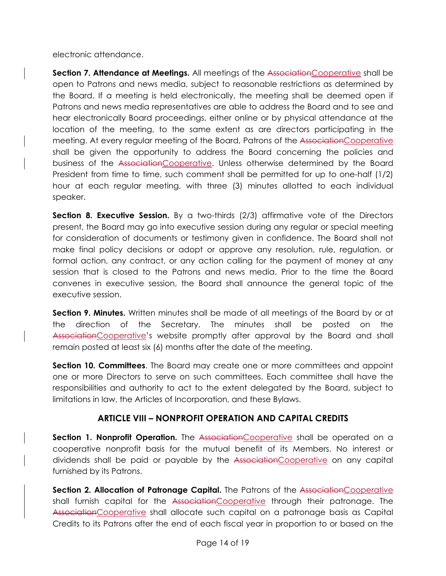electronic attendance.

**Section 7. Attendance at Meetings.** All meetings of the AssociationCooperative shall be open to Patrons and news media, subject to reasonable restrictions as determined by the Board. If a meeting is held electronically, the meeting shall be deemed open if Patrons and news media representatives are able to address the Board and to see and hear electronically Board proceedings, either online or by physical attendance at the location of the meeting, to the same extent as are directors participating in the meeting. At every regular meeting of the Board, Patrons of the AssociationCooperative shall be given the opportunity to address the Board concerning the policies and business of the AssociationCooperative. Unless otherwise determined by the Board President from time to time, such comment shall be permitted for up to one-half (1/2) hour at each regular meeting, with three (3) minutes allotted to each individual speaker.

**Section 8. Executive Session.** By a two-thirds (2/3) affirmative vote of the Directors present, the Board may go into executive session during any regular or special meeting for consideration of documents or testimony given in confidence. The Board shall not make final policy decisions or adopt or approve any resolution, rule, regulation, or formal action, any contract, or any action calling for the payment of money at any session that is closed to the Patrons and news media. Prior to the time the Board convenes in executive session, the Board shall announce the general topic of the executive session.

**Section 9. Minutes.** Written minutes shall be made of all meetings of the Board by or at the direction of the Secretary. The minutes shall be posted on the AssociationCooperative's website promptly after approval by the Board and shall remain posted at least six (6) months after the date of the meeting.

**Section 10. Committees**. The Board may create one or more committees and appoint one or more Directors to serve on such committees. Each committee shall have the responsibilities and authority to act to the extent delegated by the Board, subject to limitations in law, the Articles of Incorporation, and these Bylaws.

## **ARTICLE VIII – NONPROFIT OPERATION AND CAPITAL CREDITS**

**Section 1. Nonprofit Operation.** The AssociationCooperative shall be operated on a cooperative nonprofit basis for the mutual benefit of its Members. No interest or dividends shall be paid or payable by the AssociationCooperative on any capital furnished by its Patrons.

**Section 2. Allocation of Patronage Capital.** The Patrons of the AssociationCooperative shall furnish capital for the AssociationCooperative through their patronage. The AssociationCooperative shall allocate such capital on a patronage basis as Capital Credits to its Patrons after the end of each fiscal year in proportion to or based on the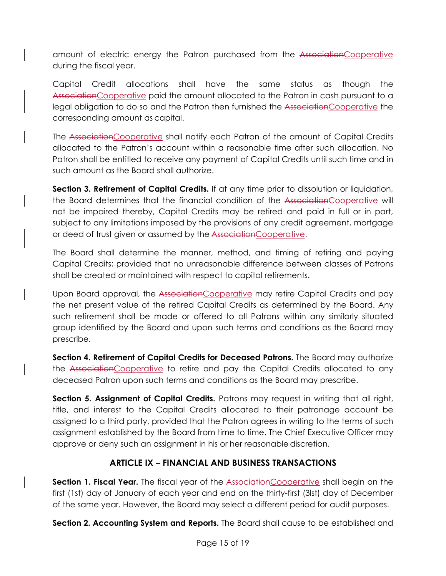amount of electric energy the Patron purchased from the AssociationCooperative during the fiscal year.

Capital Credit allocations shall have the same status as though the AssociationCooperative paid the amount allocated to the Patron in cash pursuant to a legal obligation to do so and the Patron then furnished the AssociationCooperative the corresponding amount as capital.

The AssociationCooperative shall notify each Patron of the amount of Capital Credits allocated to the Patron's account within a reasonable time after such allocation. No Patron shall be entitled to receive any payment of Capital Credits until such time and in such amount as the Board shall authorize.

**Section 3. Retirement of Capital Credits.** If at any time prior to dissolution or liquidation, the Board determines that the financial condition of the AssociationCooperative will not be impaired thereby, Capital Credits may be retired and paid in full or in part, subject to any limitations imposed by the provisions of any credit agreement, mortgage or deed of trust given or assumed by the AssociationCooperative.

The Board shall determine the manner, method, and timing of retiring and paying Capital Credits; provided that no unreasonable difference between classes of Patrons shall be created or maintained with respect to capital retirements.

Upon Board approval, the Association Cooperative may retire Capital Credits and pay the net present value of the retired Capital Credits as determined by the Board. Any such retirement shall be made or offered to all Patrons within any similarly situated group identified by the Board and upon such terms and conditions as the Board may prescribe.

**Section 4. Retirement of Capital Credits for Deceased Patrons.** The Board may authorize the AssociationCooperative to retire and pay the Capital Credits allocated to any deceased Patron upon such terms and conditions as the Board may prescribe.

**Section 5. Assignment of Capital Credits.** Patrons may request in writing that all right, title, and interest to the Capital Credits allocated to their patronage account be assigned to a third party, provided that the Patron agrees in writing to the terms of such assignment established by the Board from time to time. The Chief Executive Officer may approve or deny such an assignment in his or her reasonable discretion.

## **ARTICLE IX – FINANCIAL AND BUSINESS TRANSACTIONS**

**Section 1. Fiscal Year.** The fiscal year of the AssociationCooperative shall begin on the first (1st) day of January of each year and end on the thirty-first (3lst) day of December of the same year. However, the Board may select a different period for audit purposes.

**Section 2. Accounting System and Reports.** The Board shall cause to be established and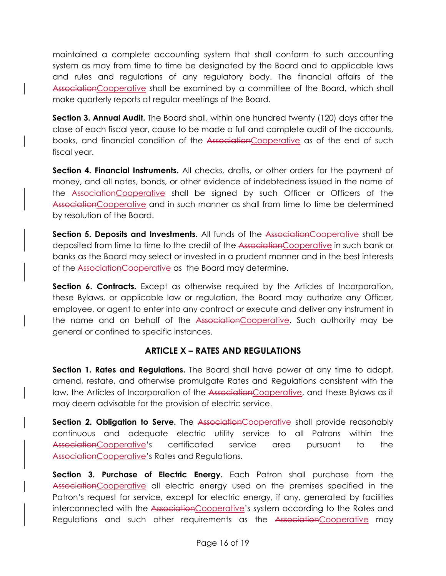maintained a complete accounting system that shall conform to such accounting system as may from time to time be designated by the Board and to applicable laws and rules and regulations of any regulatory body. The financial affairs of the AssociationCooperative shall be examined by a committee of the Board, which shall make quarterly reports at regular meetings of the Board.

**Section 3. Annual Audit.** The Board shall, within one hundred twenty (120) days after the close of each fiscal year, cause to be made a full and complete audit of the accounts, books, and financial condition of the AssociationCooperative as of the end of such fiscal year.

**Section 4. Financial Instruments.** All checks, drafts, or other orders for the payment of money, and all notes, bonds, or other evidence of indebtedness issued in the name of the AssociationCooperative shall be signed by such Officer or Officers of the AssociationCooperative and in such manner as shall from time to time be determined by resolution of the Board.

**Section 5. Deposits and Investments.** All funds of the AssociationCooperative shall be deposited from time to time to the credit of the AssociationCooperative in such bank or banks as the Board may select or invested in a prudent manner and in the best interests of the AssociationCooperative as the Board may determine.

**Section 6. Contracts.** Except as otherwise required by the Articles of Incorporation, these Bylaws, or applicable law or regulation, the Board may authorize any Officer, employee, or agent to enter into any contract or execute and deliver any instrument in the name and on behalf of the AssociationCooperative. Such authority may be general or confined to specific instances.

## **ARTICLE X – RATES AND REGULATIONS**

**Section 1. Rates and Regulations.** The Board shall have power at any time to adopt, amend, restate, and otherwise promulgate Rates and Regulations consistent with the law, the Articles of Incorporation of the AssociationCooperative, and these Bylaws as it may deem advisable for the provision of electric service.

**Section 2. Obligation to Serve.** The AssociationCooperative shall provide reasonably continuous and adequate electric utility service to all Patrons within the AssociationCooperative's certificated service area pursuant to the AssociationCooperative's Rates and Regulations.

**Section 3. Purchase of Electric Energy.** Each Patron shall purchase from the AssociationCooperative all electric energy used on the premises specified in the Patron's request for service, except for electric energy, if any, generated by facilities interconnected with the AssociationCooperative's system according to the Rates and Regulations and such other requirements as the AssociationCooperative may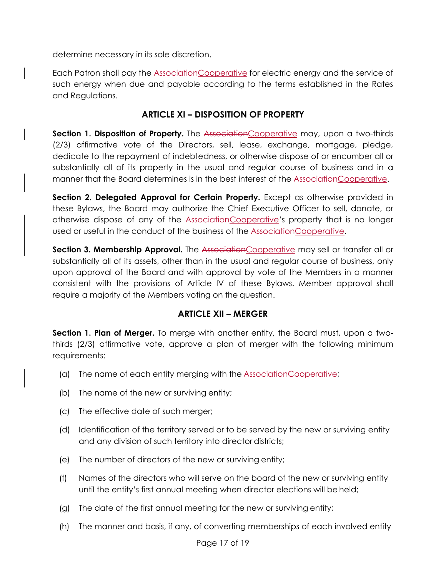determine necessary in its sole discretion.

Each Patron shall pay the AssociationCooperative for electric energy and the service of such energy when due and payable according to the terms established in the Rates and Regulations.

## **ARTICLE XI – DISPOSITION OF PROPERTY**

**Section 1. Disposition of Property.** The AssociationCooperative may, upon a two-thirds (2/3) affirmative vote of the Directors, sell, lease, exchange, mortgage, pledge, dedicate to the repayment of indebtedness, or otherwise dispose of or encumber all or substantially all of its property in the usual and regular course of business and in a manner that the Board determines is in the best interest of the AssociationCooperative.

**Section 2. Delegated Approval for Certain Property.** Except as otherwise provided in these Bylaws, the Board may authorize the Chief Executive Officer to sell, donate, or otherwise dispose of any of the AssociationCooperative's property that is no longer used or useful in the conduct of the business of the AssociationCooperative.

**Section 3. Membership Approval.** The AssociationCooperative may sell or transfer all or substantially all of its assets, other than in the usual and regular course of business, only upon approval of the Board and with approval by vote of the Members in a manner consistent with the provisions of Article IV of these Bylaws. Member approval shall require a majority of the Members voting on the question.

## **ARTICLE XII – MERGER**

**Section 1. Plan of Merger.** To merge with another entity, the Board must, upon a twothirds (2/3) affirmative vote, approve a plan of merger with the following minimum requirements:

- (a) The name of each entity merging with the AssociationCooperative;
- (b) The name of the new or surviving entity;
- (c) The effective date of such merger;
- (d) Identification of the territory served or to be served by the new or surviving entity and any division of such territory into director districts;
- (e) The number of directors of the new or surviving entity;
- (f) Names of the directors who will serve on the board of the new or surviving entity until the entity's first annual meeting when director elections will be held;
- (g) The date of the first annual meeting for the new or surviving entity;
- (h) The manner and basis, if any, of converting memberships of each involved entity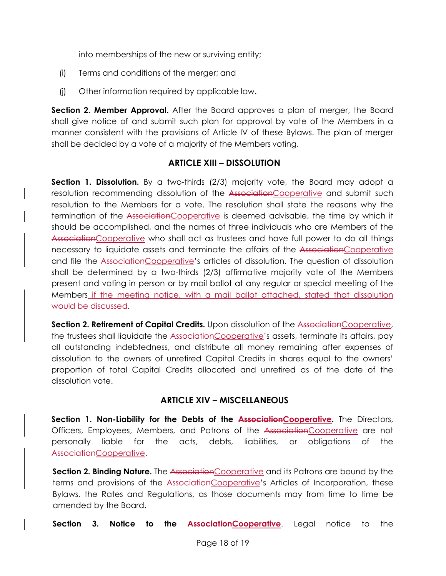into memberships of the new or surviving entity;

- (i) Terms and conditions of the merger; and
- (j) Other information required by applicable law.

**Section 2. Member Approval.** After the Board approves a plan of merger, the Board shall give notice of and submit such plan for approval by vote of the Members in a manner consistent with the provisions of Article IV of these Bylaws. The plan of merger shall be decided by a vote of a majority of the Members voting.

#### **ARTICLE XIII – DISSOLUTION**

**Section 1. Dissolution.** By a two-thirds (2/3) majority vote, the Board may adopt a resolution recommending dissolution of the AssociationCooperative and submit such resolution to the Members for a vote. The resolution shall state the reasons why the termination of the AssociationCooperative is deemed advisable, the time by which it should be accomplished, and the names of three individuals who are Members of the AssociationCooperative who shall act as trustees and have full power to do all things necessary to liquidate assets and terminate the affairs of the AssociationCooperative and file the AssociationCooperative's articles of dissolution. The question of dissolution shall be determined by a two-thirds (2/3) affirmative majority vote of the Members present and voting in person or by mail ballot at any regular or special meeting of the Members if the meeting notice, with a mail ballot attached, stated that dissolution would be discussed.

**Section 2. Retirement of Capital Credits.** Upon dissolution of the AssociationCooperative, the trustees shall liquidate the AssociationCooperative's assets, terminate its affairs, pay all outstanding indebtedness, and distribute all money remaining after expenses of dissolution to the owners of unretired Capital Credits in shares equal to the owners' proportion of total Capital Credits allocated and unretired as of the date of the dissolution vote.

## **ARTICLE XIV – MISCELLANEOUS**

Section 1. Non-Liability for the Debts of the AssociationCooperative. The Directors, Officers, Employees, Members, and Patrons of the AssociationCooperative are not personally liable for the acts, debts, liabilities, or obligations of the AssociationCooperative.

**Section 2. Binding Nature.** The AssociationCooperative and its Patrons are bound by the terms and provisions of the AssociationCooperative's Articles of Incorporation, these Bylaws, the Rates and Regulations, as those documents may from time to time be amended by the Board.

**Section 3. Notice to the AssociationCooperative**. Legal notice to the